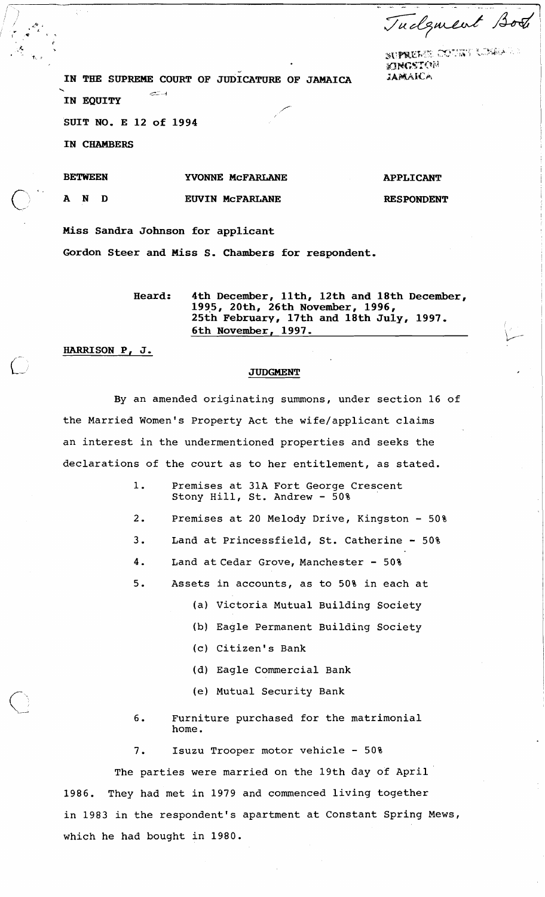Tudgment Both

**P** <sup>I</sup> .& **'w..h"** ,."".' . " **sg: fq#ET,.l'i,** >, , .., - :;, **'1** i: ,,.. :Q.:,.l" .. <sup>I</sup> **"flHC%':~:~ilj** <sup>i</sup>**<sup>d</sup>**

IN THE SUPREME COURT OF JUDICATURE OF JAMAICA *JAMAICA* 

**IN EQUITY** 

**t#,** "

 $\bigcup_{i=1}^n$ 

SUIT NO. E 12 of 1994

**IN CHAMBERS** 

**BETWEEN AND YVONNE McFARLANE EWIN McFARLANE APPLICANT RESPONDENT** 

**Miss Sandra Johnson for applicant Gordon Steer and Miss S. Chambers for respondent.** 

> **Heard: 4th December, llth, 12th and 18th December, 1995, 20th, 26th November, 1996, 25th February, 17th and 18th July, 1997. 6th November, 1997.** \/ - -

**HARRISON P, J.** 

## **JUDGMENT**

By an amended originating summons, under section 16 of the Married Women's Property Act the wife/applicant claims an interest in the undermentioned properties and seeks the declarations of the court as to her entitlement, as stated.

> 1. Premises at 31A Fort George Crescent Stony Hill, St. Andrew - 50%

- 2. Premises at 20 Melody Drive, Kingston 50%
- 3. Land at Princessfield, St. Catherine 50%
- 4. Land at Cedar Grove, Manchester 50%
- 5. Assets in accounts, as to 50% in each at
	- (a) Victoria Mutual Building Society
	- (b) Eagle Permanent Building Society
	- (c) Citizen's Bank
	- (d) Eagle Commercial Bank
	- (e) Mutual Security Bank
- 6. Furniture purchased for the matrimonial home.

7. Isuzu Trooper motor vehicle - 50%

The parties were married on the 19th day of April 1986. They had met in 1979 and commenced living together in 1983 in the respondent's apartment at Constant Spring Mews, which he had bought in 1980.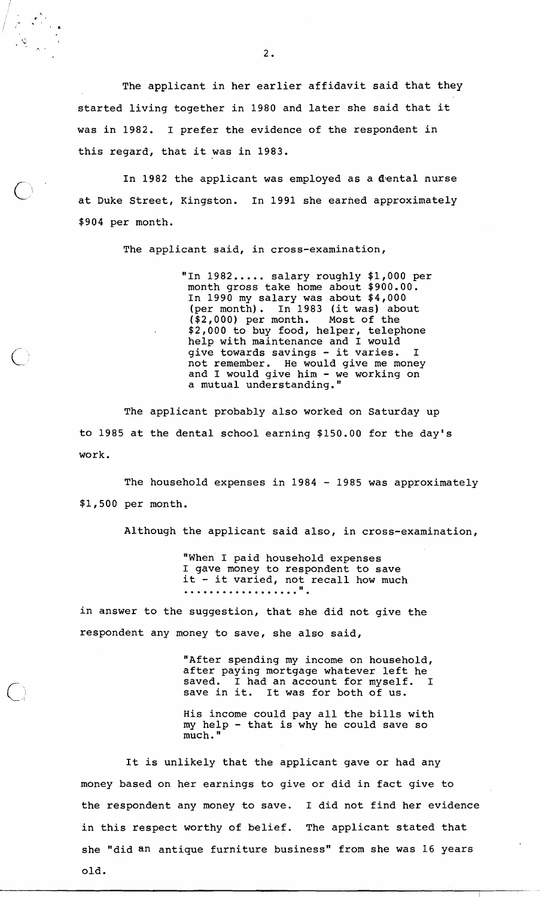The applicant in her earlier affidavit said that they started living together in 1980 and later she said that it was in 1982. I prefer the evidence of the respondent in this regard, that it was in 1983.

In 1982 the applicant was employed as a dental nurse<br>at Duke Street, Kingston. In 1991 she earned approximately \$904 per month.

The applicant said, in cross-examination,

"In 1982..... salary roughly \$1,000 per month gross take home about \$900.00. In 1990 my salary was about \$4,000 (per month). In 1983 (it was) about (\$2,000) per month. Most of the \$2,000 to buy food, helper, telephone help with maintenance and I would give towards savings - it varies. not remember. He would give me money and I would give him - we working on a mutual understanding. "

The applicant probably also worked on Saturday up to 1985 at the dental school earning \$150.00 for the day's work.

The household expenses in 1984 - 1985 was approximately \$1,500 per month.

Although the applicant said also, in cross-examination,

"When I paid household expenses I gave money to respondent to save<br>it - it varied, not recall how much<br>....................".

in answer to the suggestion, that she did not give the respondent any money to save, she also said,

> "After spending my income on household, after paying mortgage whatever left he<br>saved. I had an account for myself. I saved. I had an account for myself. save in it. It was for both of us.

> His income could pay all the bills with my help - that is why he could save so much. "

It is unlikely that the applicant gave or had any money based on her earnings to give or did in fact give to the respondent any money to save. I did not find her evidence in this respect worthy of belief. The applicant stated that she "did an antique furniture business" from she was 16 years old.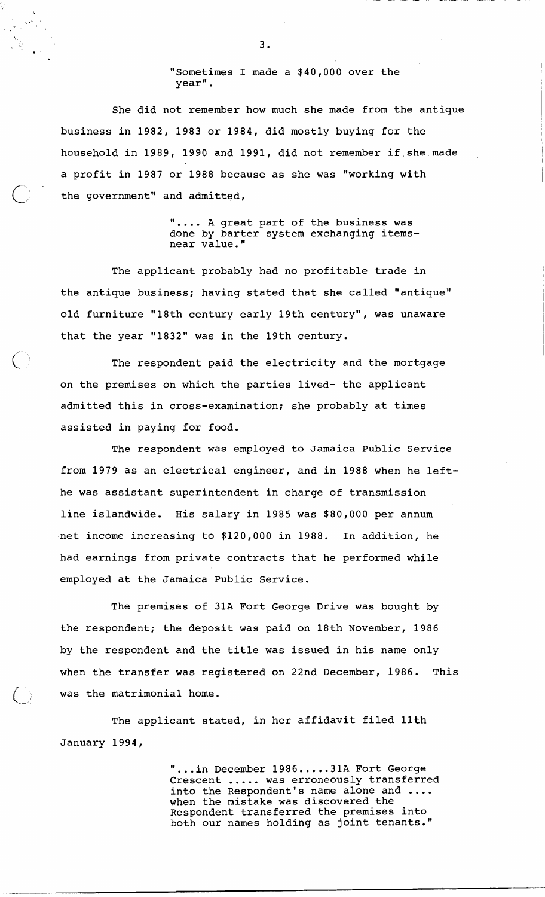"Sometimes I made a \$40,000 over the year".

She did not remember how much she made from the antique business in 1982, 1983 or 1984, did mostly buying for the household in 1989, 1990 and 1991, did not remember if.she.made a profit in 1987 or 1988 because as she was "working with the government" and admitted,

> **'I....** A great part of the business was done by barter system exchanging itemsnear value."

The applicant probably had no profitable trade in the antique business; having stated that she called "antique" old furniture "18th century early 19th century", was unaware that the year "1832" was in the 19th century.

The respondent paid the electricity and the mortgage on the premises on which the parties lived- the applicant admitted this in cross-examination; she probably at times assisted in paying for food.

The respondent was employed to Jamaica Public Service from 1979 as an electrical engineer, and in 1988 when he lefthe was assistant superintendent in charge of transmission line islandwide. His salary in 1985 was \$80,000 per annum net income increasing to \$120,000 in 1988. In addition, he had earnings from private contracts that he performed while employed at the Jamaica Public Service.

The premises of 31A Fort George Drive was bought by the respondent; the deposit was paid on 18th November, 1986 by the respondent and the title was issued in his name only when the transfer was registered on 22nd December, 1986. This was the matrimonial home.

The applicant stated, in her affidavit filed 11th January 1994,

> "...in December 1986.....31A Fort George Crescent ..... was erroneously transferred into the Respondent's name alone and .... when the mistake was discovered the Respondent transferred the premises into both our names holding as joint tenants.''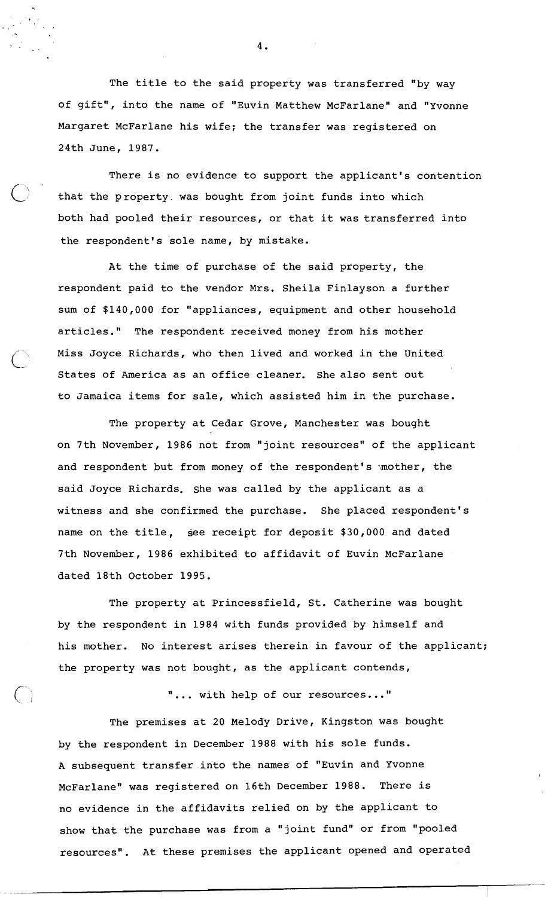The title to the said property was transferred "by way of gift", into the name of "Euvin Matthew McFarlane" and "Yvonne Margaret McFarlane his wife; the transfer was registered on 24th June, 1987.

There is no evidence to support the applicant's contention that the property. was bought from joint funds into which both had pooled their resources, or that it was transferred into the respondent's sole name, by mistake.

At the time of purchase of the said property, the respondent paid to the vendor Mrs. Sheila Finlayson a further sum of \$140,000 for "appliances, equipment and other household articles." The respondent received money from his mother Miss Joyce Richards, who then lived and worked in the United States of America as an office cleaner. She also sent out to Jamaica items for sale, which assisted him in the purchase.

 $\circ$ 

**L-,** 

The property at Cedar Grove, Manchester was bought on 7th November, 1986 not from "joint resources" of the applicant and respondent but from money of the respondent's mother, the said Joyce Richards. she was called by the applicant as a witness and she confirmed the purchase. She placed respondent's name on the title, see receipt for deposit \$30,000 and dated 7th November, 1986 exhibited to affidavit of Euvin McFarlane dated 18th October 1995.

The property at Princessfield, St. Catherine was bought by the respondent in 1984 with funds provided by himself and his mother. No interest arises therein in favour of the applicant; the property was not bought, as the applicant contends,

"... with help of our resources..."

The premises at 20 Melody Drive, Kingston was bought by the respondent in December 1988 with his sole funds. A subsequent transfer into the names of "Euvin and Yvonne McFarlane" was registered on 16th December 1988. There is no evidence in the affidavits relied on by the applicant to show that the purchase was from a "joint fund" or from "pooled resources". At these premises the applicant opened and operated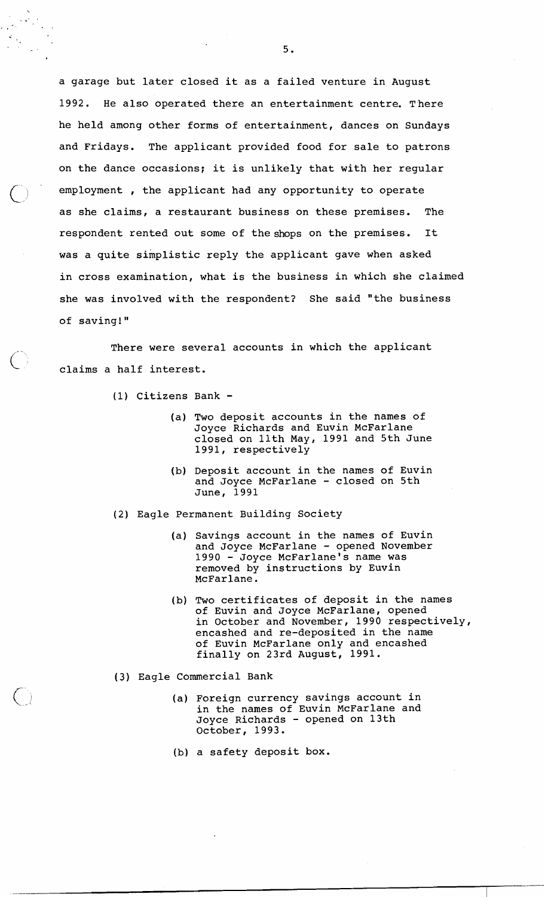a garage but later closed it as a failed venture in August 1992. He also operated there an entertainment centre. There he held among other forms of entertainment, dances on Sundays and Fridays. The applicant provided food for sale to patrons on the dance occasions; it is unlikely that with her regular employment , the applicant had any opportunity to operate<br>as she claims, a restaurant business on these premises. The as she claims, a restaurant business on these premises. respondent rented out some of the shops on the premises. It was a quite simplistic reply the applicant gave when asked in cross examination, what is the business in which she claimed she was involved with the respondent? She said "the business of saving!"

There were several accounts in which the applicant C claims a half interest.

- (1) Citizens Bank
	- (a) Two deposit accounts in the names of Joyce Richards and Euvin McFarlane closed on 11th May, 1991 and 5th June 1991, respectively
	- (b) Deposit account in the names of Euvin and Joyce McFarlane - closed on 5th June, 1991
- (2) Eagle Permanent Building Society
	- (a) Savings account in the names of Euvin and Joyce McFarlane - opened November 1990 - Joyce McFarlane's name was removed by instructions by Euvin McFarlane.
	- (b) Two certificates of deposit in the names of Euvin and Joyce McFarlane, opened in October and November, 1990 respectively, encashed and re-deposited in the name of Euvin McFarlane only and encashed finally on 23rd August, 1991.
- **(3)** Eagle Commercial Bank
	- (a) Foreign currency savings account in in the names of Euvin McFarlane and Joyce Richards - opened on 13th October, 1993.
	- (b) a safety deposit box.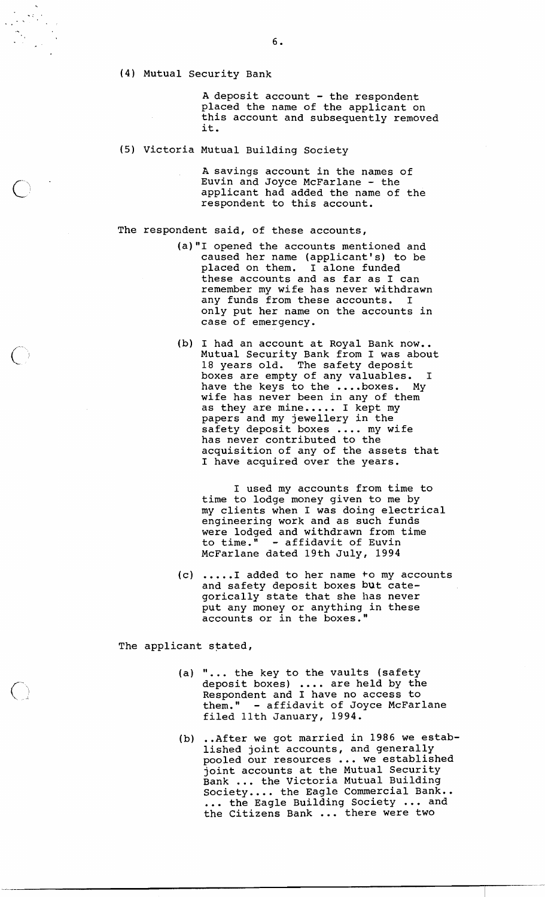(4) Mutual security Bank

A deposit account - the respondent placed the name of the applicant on this account and subsequently removed it.

(5) Victoria Mutual Building Society

A savings account in the names of Euvin and Joyce McFarlane - the applicant had added the name of the respondent to this account.

The respondent said, of these accounts,

- (a)"I opened the accounts mentioned and caused her name (applicant's) to be placed on them. I alone funded these accounts and as far as I can remember my wife has never withdrawn any funds from these accounts. I only put her name on the accounts in case of emergency.
- (b) I had an account at Royal Bank now.. Mutual Security Bank from I was about 18 years old. The safety deposit boxes are empty of any valuables, I have the keys to the ....boxes. My wife has never been in any of them as they are mine..... I kept my papers and my jewellery in the safety deposit boxes .... my wife has never contributed to the acquisition of any of the assets that I have acquired over the years,

I used my accounts from time to time to lodge money given to me by my clients when I was doing electrical engineering work and as such funds were lodged and withdrawn from time to time." - affidavit of Euvin McFarlane dated 19th July, 1994

(c) ..... I added to her name to my accounts and safety deposit boxes but categorically state that she has never put any money or anything in these accounts or in the boxes."

The applicant stated,

- (a) ". .. the key to the vaults (safety **"...** the key to the vaults (safety<br>deposit boxes) .... are held by the Respondent and I have no access to them." - affidavit of Joyce McFarlane filed 11th January, 1994.
- (b) ..After we got married in 1986 we established joint accounts, and generally lished joint accounts, and generally<br>pooled our resources ... we established joint accounts at the Mutual Security Bank ... the Victoria Mutual Building<br>Society.... the Eagle Commercial Bank.. Bank ... the Victoria Mutual Building<br>Society.... the Eagle Commercial Bank..<br>... the Eagle Building Society ... and ... the Eagle Building Society ... an<br>the Citizens Bank ... there were two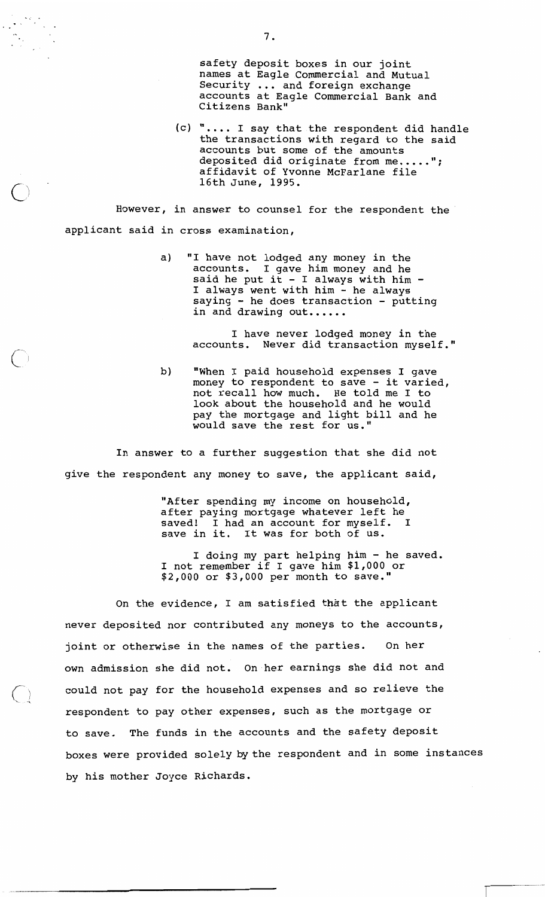safety deposit boxes in our joint names at Eagle Commercial and Mutual Security ... and foreign exchange accounts at Eagle Commercial Bank and Citizens Bank"

(c) ".... I say that the respondent did handle the transactions with regard to the said accounts but some of the amounts deposited did originate from me..... **I1** ; affidavit of Yvonne McFarlane file 16th June, 1995.

However, in answer to counsel for the respondent the applicant said in cross examination,

> a) "I have not lodged any money in the accounts. I gave him money and he said he put it - I always with him -I always went with him - he always saying - he does transaction - putting in and drawing out......

> > I have never lodged money in the accounts. Never did transaction myself."

b) "When I paid household expenses I gave money to respondent to save - it varied, not recall how much. He told me I to look about the household and he would pay the mortgage and light bill and he would save the rest for us."

In answer to a further suggestion that she did not give the respondent any money to save, the applicant said,

> "After spending my income on household, after paying mortgage whatever left he saved! I had an account for myself. save in it. It was for both of us.

I doing my part helping him - he saved. I not remember if I gave him \$1,000 or \$2,000 or \$3,000 per month to save."

On the evidence, I am satisfied that the applicant never deposited nor contributed any moneys to the accounts, joint or otherwise in the names of the parties. On her own admission she did not. On her earnings she did not and could not pay for the household expenses and so relieve the respondent to pay other expenses, such as the mortgage or to save. The funds in the accounts and the safety deposit boxes were provided solely bythe respondent and in some instances by his mother Joyce Richards.

 $7.$ 

 $\sqrt{2}$ 

 $\langle \quad \rangle$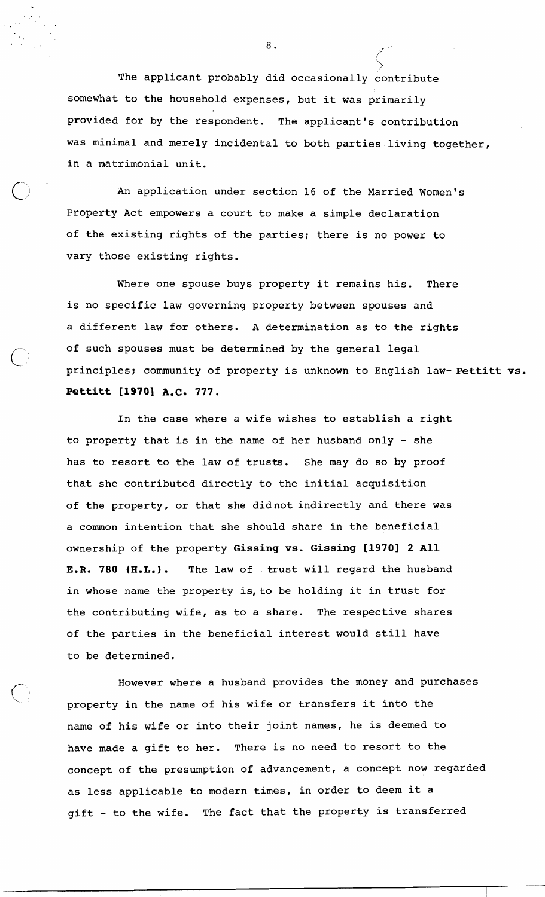The applicant probably did occasionally contribute somewhat to the household expenses, but it was primarily provided for by the respondent. The applicant's contribution was minimal and merely incidental to both parties living together, in a matrimonial unit.

An application under section 16 of the Married Women's Property Act empowers a court to make a simple declaration of the existing rights of the parties; there is no power to vary those existing rights.

Where one spouse buys property it remains his. There is no specific law governing property between spouses and a different law for others. A determination as to the rights of such spouses must be determined by the general legal principles; community of property is unknown to English law- Pettitt vs. **Pettitt [I9701 A.C. 777.** 

In the case where a wife wishes to establish a right to property that is in the name of her husband only - she has to resort to the law of trusts. She may do so by proof that she contributed directly to the initial acquisition of the property, or that she didnot indirectly and there was a common intention that she should share in the beneficial ownership of the property Gissing vs. Gissing **[I9701** 2 All E.R. 780 (H.L.). The law of trust will regard the husband in whose name the property is, to be holding it in trust for the contributing wife, as to a share. The respective shares of the parties in the beneficial interest would still have to be determined.

However where a husband provides the money and purchases property in the name of his wife or transfers it into the name of his wife or into their joint names, he is deemed to have made a gift to her. There is no need to resort to the concept of the presumption of advancement, a concept now regarded as less applicable to modern times, in order to deem it a gift - to the wife. The fact that the property is transferred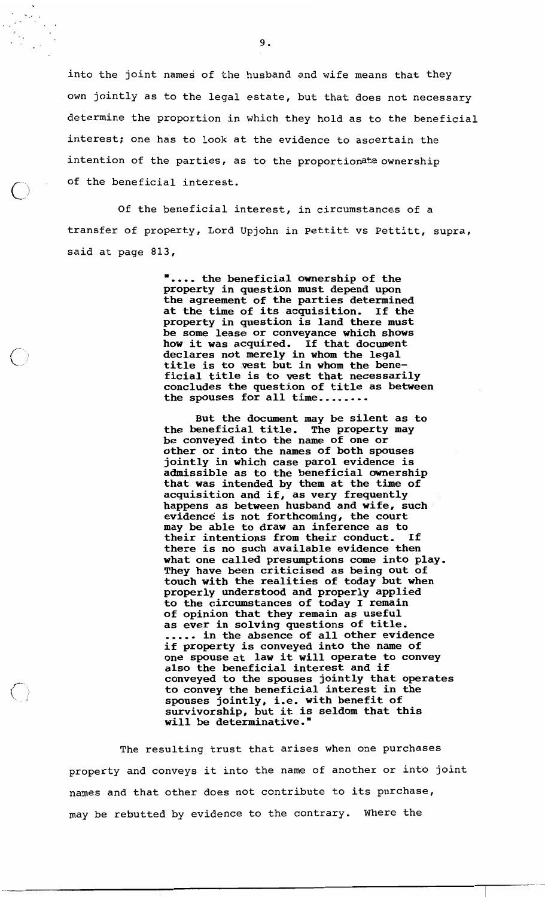into the joint names of the husband and wife means that they own jointly as to the legal estate, but that does not necessary determine the proportion in which they hold as to the beneficial interest; one has to look at the evidence to ascertain the intention of the parties, as to the proportionate ownership of the beneficial interest.

Of the beneficial interest, in circumstances of a transfer of property, Lord Upjohn in Pettitt vs Pettitt, supra, said at page 813,

 $\bigcirc$  j

**I** ,,,, **the beneficial ownership of the property in question must depend upon the agreement of the parties determined at the time of its acquisition. If the property in question is land there must be some lease or conveyance which shows how it was acquired, If that document declares not merely in whom the legal title is to .vest but in whom the beneficial title is to vest that necessarily concludes the question of title as between the spouses for all time........** 

**But the document may be silent as to the beneficial title. The property may be conveyed into the name of one or other or into the names of both spouses jointly in which case par01 evidence is admissible as to the beneficial ownership that was intended by them at the time of acquisition and if, as very frequently happens as between husband and wife, such evidence is not forthcoming, the court may be able to draw an inference as to their intentions from their conduct. If there is no such available evidence then what one called presumptions come into play. They have been criticised as being out of touch with the realities of today but when properly understood and properly applied to the circumstances of today I remain of opinion that they remain as useful as ever in solving questions of title.** ..... **in the absence of all other evidence if property is conveyed into the name of one spouse at law it will operate to convey also the beneficial interest and if conveyed to the spouses jointly that operates to convey the beneficial interest in the spouses jointly, i.e. with benefit of survivorship, but it is seldom that this will be determinative."** 

The resulting trust that arises when one purchases property and conveys it into the name of another or into joint names and that other does not contribute to its purchase, may be rebutted by evidence to the contrary. Where the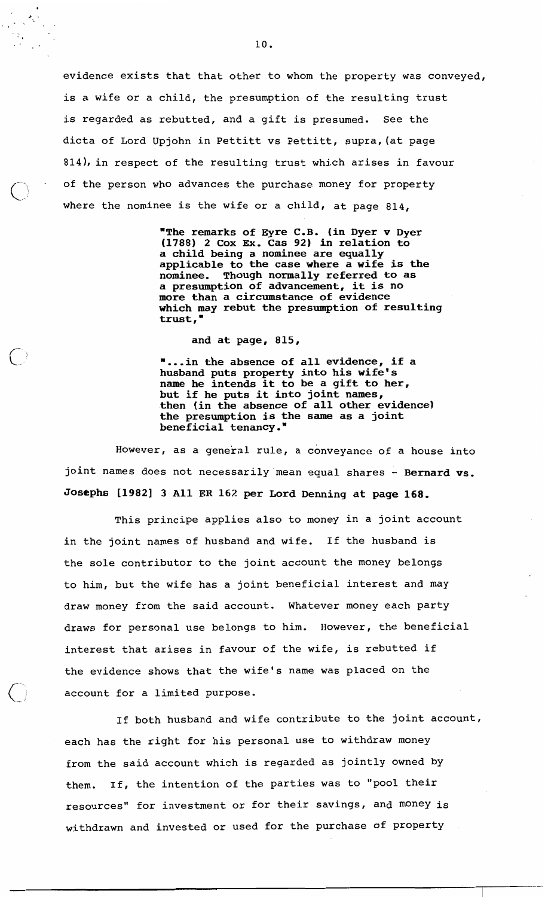evidence exists that that other to whom the property was conveyed, is a wife or a child, the presumption of the resulting trust is regarded as rebutted, and a gift is presumed. See the dicta of Lord Upjohn in Pettitt vs Pettitt, supra, (at page 814), in respect of the resulting trust which arises in favour of the person who advances the purchase money for property where the nominee is the wife or a child, at page 814,

> **"The remarks of Eyre C.B. (in Dyer v Dyer (1788) 2 Cox Ex. Cas 92) in relation to a child being a nominee are equally applicable to the case where a wife is the nominee. Though normally referred to as a presumption of advancement, it is no more than a circumstance of evidence which may rebut the presumption of resulting trust,** "

## **and at page, 815,**

**"...in the absence of all evidence, if a husband puts property into his wife's name he intends it to be a gift to her, but if he puts it into joint names, then (in the absence of all other evidence) the presumption is the same as a joint beneficial tenancy."** 

However, as a general rule, a conveyance of a house into joint names does not necessarily mean equal shares - Bernard vs. Josephs [1982] 3 All ER 162 per Lord Denning at page 168.

This principe applies also to money in a joint account in the joint names of husband and wife. If the husband is the sole contributor to the joint account the money belongs to him, but the wife has a joint beneficial interest and may draw money from the said account. Whatever money each party draws for personal use belongs to him. However, the beneficial interest that arises in favour of the wife, is rebutted if the evidence shows that the wife's name was placed on the account for a limited purpose.

If both husband and wife contribute to the joint account, each has the right for his personal use to withdraw money from the said account which is regarded as jointly owned by them. If, the intention of the parties was to "pool their resources" for investment or for their savings, and money is withdrawn and invested or used for the purchase of property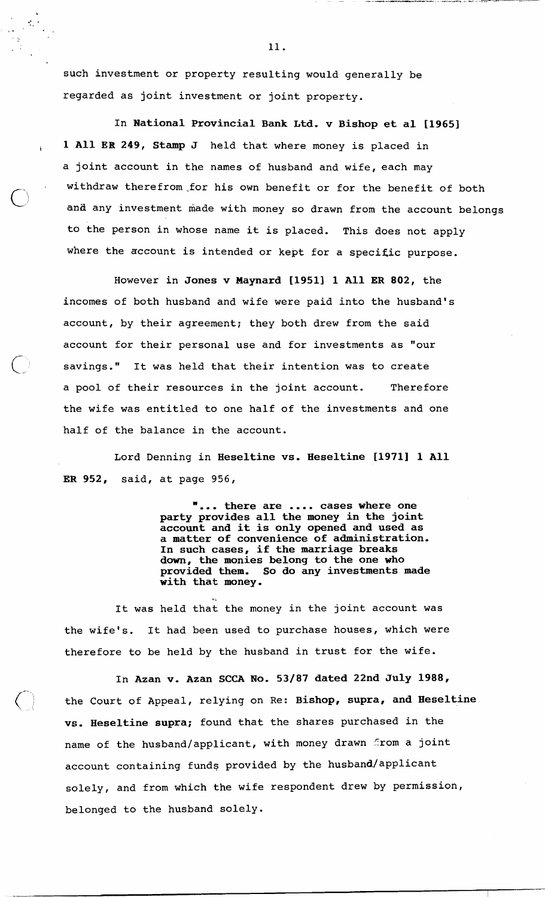such investment or property resulting would generally be regarded as joint investment or joint property.

In National Provincial Bank Ltd. v Bishop et al [1965] 1 All ER 249, Stamp J held that where money is placed in a joint account in the names of husband and wife, each may withdraw therefrom for his own benefit or for the benefit of both and any investment made with money so drawn from the account belongs to the person in whose name it is placed. This does not apply where the account is intended or kept for a specific purpose.

However in Jones v Maynard [19511 1 All **ER** 802, the incomes of both husband and wife were paid into the husband's account, by their agreement; they both drew from the said account for their personal use and for investments as "our savings." It was held that their intention was to create a pool of their resources in the joint account. Therefore the wife was entitled to one half of the investments and one half of the balance in the account.

Lord Denning in Heseltine vs. Heseltine [1971] 1 All **ER** 952, said, at page 956,

**T...** there are .... cases where one .... party provides all the money in the joint account and it is only opened and used as a matter of convenience of administration. In such cases, if the marriage breaks down, the monies belong to the one who<br>provided them. So do any investments So do any investments made with that money.

It was held that the money in the joint account was the wife's. It had been used to purchase houses, which were therefore to be held by the husband in trust for the wife.

**3** .,

In Azan v. Azan SCCA No. 53/87 dated **22nd** July 1988, the Court of Appeal, relying on Re: Bishop, supra, and Heseltine vs. Heseltine supra; found that the shares purchased in the name of the husband/applicant, with money drawn from a joint account containing funds provided by the husband/applicant solely, and from which the wife respondent drew by permission, belonged to the husband solely.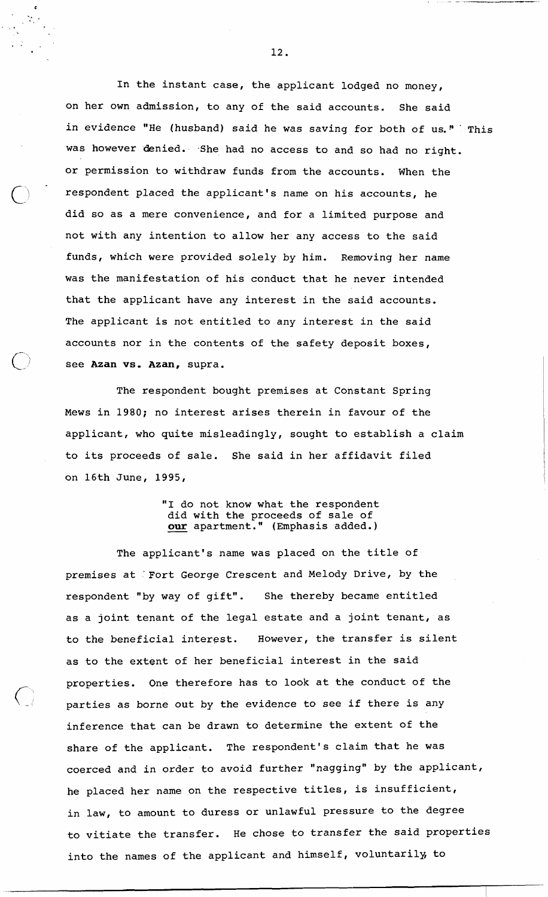In the instant case, the applicant lodged no money, on her own admission, to any of the said accounts. She said in evidence "He (husband) said he was saving for both of us." This was however denied. She had no access to and so had no right. or permission to withdraw funds from the accounts. When the respondent placed the applicant's name on his accounts, he did so as a mere convenience, and for a limited purpose and not with any intention to allow her any access to the said funds, which were provided solely by him. Removing her name was the manifestation of his conduct that he never intended that the applicant have any interest in the said accounts. The applicant is not entitled to any interest in the said accounts nor in the contents of the safety deposit boxes, see **Azan** vs. **Azan,** supra.

The respondent bought premises at Constant Spring Mews in 1980; no interest arises therein in favour of the applicant, who quite misleadingly, sought to establish a claim to its proceeds of sale. She said in her affidavit filed on 16th June, 1995,

> "I do not know what the respondent did with the proceeds of sale of our apartment." (Emphasis added.)

The applicant's name was placed on the title of premises at 'Fort George Crescent and Melody Drive, by the respondent "by way of gift". She thereby became entitled as a joint tenant of the legal estate and a joint tenant, as to the beneficial interest. However, the transfer is silent as to the extent of her beneficial interest in the said properties. One therefore has to look at the conduct of the parties as borne out by the evidence to see if there is any inference that can be drawn to determine the extent of the share of the applicant. The respondent's claim that he was coerced and in order to avoid further "nagging" by the applicant, he placed her name on the respective titles, is insufficient, in law, to amount to duress or unlawful pressure to the degree to vitiate the transfer. He chose to transfer the said properties into the names of the applicant and himself, voluntarily, to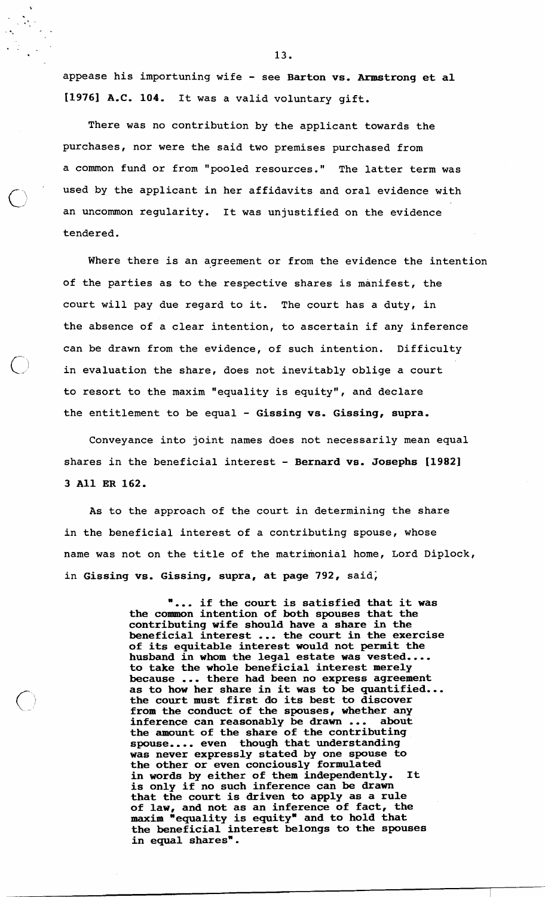appease his importuning wife - see Barton vs. Armstrong et al [1976] A.C. 104. It was a valid voluntary gift.

There was no contribution by the applicant towards the purchases, nor were the said two premises purchased from a common fund or from "pooled resources." The latter term was used by the applicant in her affidavits and oral evidence with an uncommon regularity. It was unjustified on the evidence tendered.

 $\bigcirc$ 

Where there is an agreement or from the evidence the intention of the parties as to the respective shares is manifest, the court will pay due regard to it. The court has a duty, in the absence of a clear intention, to ascertain if any inference can be drawn from the evidence, of such intention. Difficulty in evaluation the share, does not inevitably oblige a court to resort to the maxim "equality is equity", and declare the entitlement to be equal - Gissing vs. Gissing, supra.

Conveyance into joint names does not necessarily mean equal shares in the beneficial interest - Bernard vs. Josephs [1982] 3 All ER 162.

**As** to the approach of the court in determining the share in the beneficial interest of a contributing spouse, whose name was not on the title of the matrimonial home, Lord Diplock, in Gissing vs. Gissing, supra, at page 792, said;

> "... if the court is satisfied that it was the common intention of both spouses that the contributing wife should have a share in the beneficial interest ... the court in the exercise of its equitable interest would not permit the husband  $\tilde{\textbf{in}}$  whom the legal estate was vested... to take the whole beneficial interest merely because ... there had been no express agreement<br>as to how her share in it was to be quantified... because ... there had been no express agreement<br>as to how her share in it was to be quantified...<br>the court must first do its best to discover from the conduct of the spouses, whether any inference can reasonably be drawn ... about inference can reasonably be drawn ... about<br>the amount of the share of the contributing spouse.... even though that understanding was never expressly stated by one spouse to the other or even conciously formulated in words by either of them independently. It is only if no such inference can be drawn that the court is driven to apply as a rule of law, and not as an inference of fact, the of law, and not as an interence of race, the the beneficial interest belongs to the spouses in equal shares".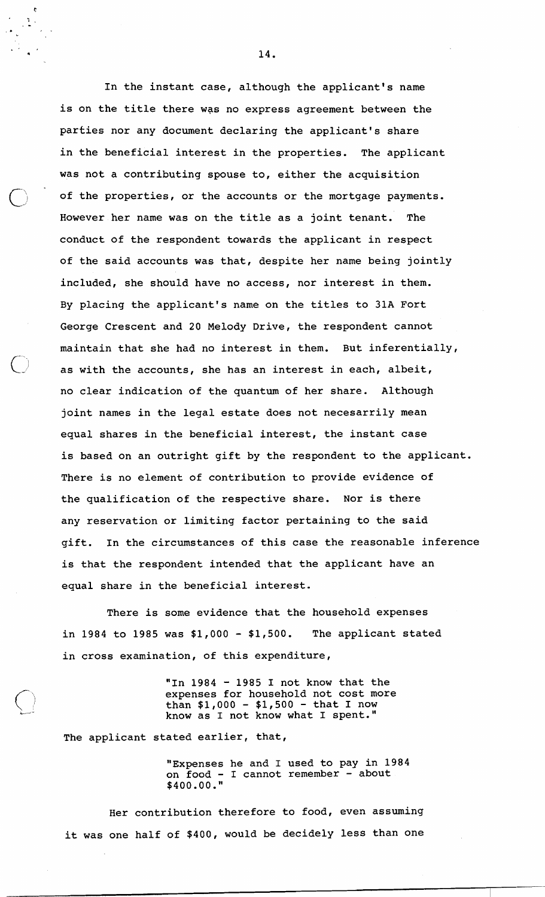In the instant case, although the applicant's name is on the title there was no express agreement between the parties nor any document declaring the applicant's share in the beneficial interest in the properties. The applicant was not a contributing spouse to, either the acquisition of the properties, or the accounts or the mortgage payments.<br>However her name was on the title as a joint tenant. The However her name was on the title as a joint tenant. conduct of the respondent towards the applicant in respect of the said accounts was that, despite her name being jointly included, she should have no access, nor interest in them. By placing the applicant's name on the titles to 31A Fort George Crescent and 20 Melody Drive, the respondent cannot maintain that she had no interest in them. But inferentially, as with the accounts, she has an interest in each, albeit, no clear indication of the quantum of her share. Although joint names in the legal estate does not necesarrily mean equal shares in the beneficial interest, the instant case is based on an outright gift by the respondent to the applicant. There is no element of contribution to provide evidence of the qualification of the respective share. Nor is there any reservation or limiting factor pertaining to the said gift. In the circumstances of this case the reasonable inference is that the respondent intended that the applicant have an equal share in the beneficial interest.

There is some evidence that the household expenses in 1984 to 1985 was \$1,000 - \$1,500. The applicant stated in cross examination, of this expenditure,

> "In  $1984$  -  $1985$  I not know that the expenses for household not cost more than  $$1,000 - $1,500 - that I now$ know as I not know what I spent."

The applicant stated earlier, that,

"Expenses he and I used to pay in 1984 on food - I cannot remember - about \$400.00."

Her contribution therefore to food, even assuming it was one half of \$400, would be decidely less than one

14.

 $\overline{c}$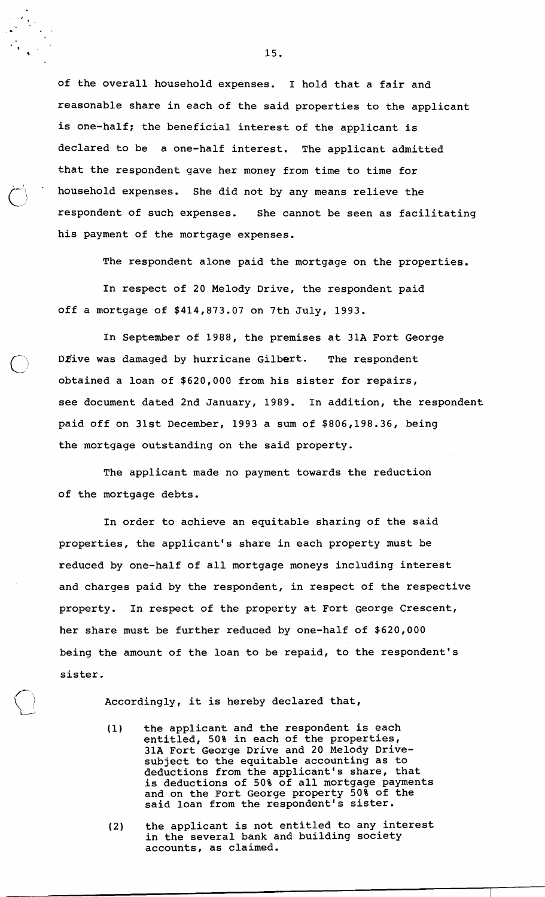of the overall household expenses. I hold that a fair and reasonable share in each of the said properties to the applicant is one-half; the beneficial interest of the applicant is declared to be a one-half interest. The applicant admitted that the respondent gave her money from time to time for household expenses. She did not by any means relieve the respondent of such expenses. She cannot be seen as facilitating his payment of the mortgage expenses.

The respondent alone paid the mortgage on the properties.

In respect of 20 Melody Drive, the respondent paid off a mortgage of \$414,873.07 on 7th July, 1993.

In September of 1988, the premises at 31A Fort George DFive was damaged by hurricane Gilbert. The respondent obtained a loan of \$620,000 from his sister for repairs, see document dated 2nd January, 1989. In addition, the respondent paid off on 31st December, 1993 a sum of \$806,198.36, being the mortgage outstanding on the said property.

The applicant made no payment towards the reduction of the mortgage debts.

In order to achieve an equitable sharing of the said properties, the applicant's share in each property must be reduced by one-half of all mortgage moneys including interest and charges paid by the respondent, in respect of the respective property. In respect of the property at Fort George Crescent, her share must be further reduced by one-half of \$620,000 being the amount of the loan to be repaid, to the respondent's sister.

Accordingly, it is hereby declared that,

- (1) the applicant and the respondent is each entitled, 50% in each of the properties, 31A Fort George Drive and 20 Melody Drivesubject to the equitable accounting as to deductions from the applicant's share, that is deductions of 50% of all mortgage payments and on the Fort George property 50% of the said loan from the respondent's sister.
- (2) the applicant is not entitled to any interest in the several bank and building society accounts, as claimed.